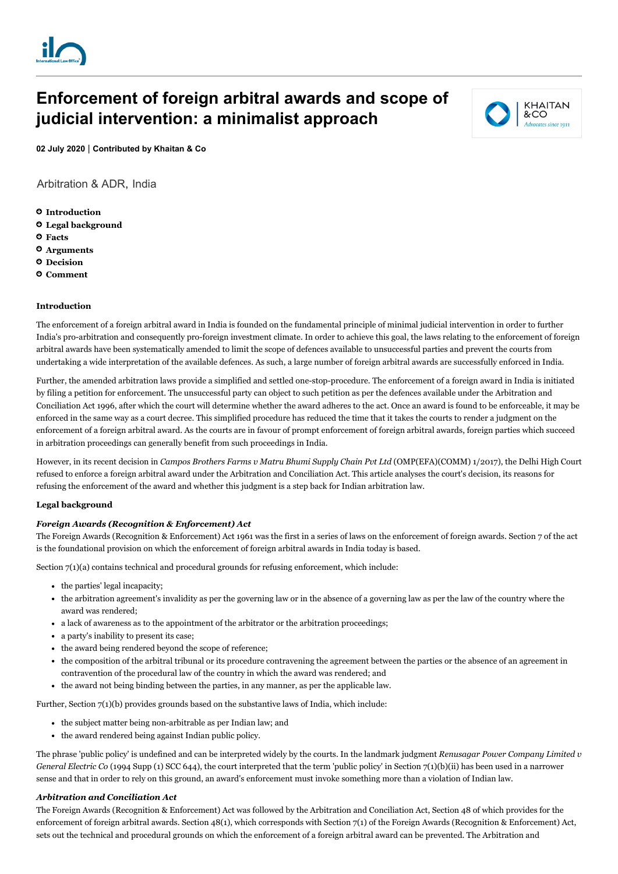# **Enforcement of foreign arbitral awards and scope of judicial intervention: a minimalist approach**



**02 July 2020** | **Contributed by [Khaitan](https://www.internationallawoffice.com/Directory/Khaitan-Co/Mumbai) & Co**

[Arbitration & ADR,](https://www.internationallawoffice.com/Search?at=Updates&cfn=Khaitan+%26+Co&ws=Arbitration+%26+ADR) [India](https://www.internationallawoffice.com/Search?at=Updates&cfn=Khaitan+%26+Co&js=India)

- **[Introduction](#page-0-0)**
- **Legal [background](#page-0-1)**
- **[Facts](#page-2-0)**
- **[Arguments](#page-3-0)**
- **[Decision](#page-3-1)**
- **[Comment](#page-3-2)**

#### <span id="page-0-0"></span>**Introduction**

The enforcement of a foreign arbitral award in India is founded on the fundamental principle of minimal judicial intervention in order to further India's pro-arbitration and consequently pro-foreign investment climate. In order to achieve this goal, the laws relating to the enforcement of foreign arbitral awards have been systematically amended to limit the scope of defences available to unsuccessful parties and prevent the courts from undertaking a wide interpretation of the available defences. As such, a large number of foreign arbitral awards are successfully enforced in India.

Further, the amended arbitration laws provide a simplified and settled one-stop-procedure. The enforcement of a foreign award in India is initiated by filing a petition for enforcement. The unsuccessful party can object to such petition as per the defences available under the Arbitration and Conciliation Act 1996, after which the court will determine whether the award adheres to the act. Once an award is found to be enforceable, it may be enforced in the same way as a court decree. This simplified procedure has reduced the time that it takes the courts to render a judgment on the enforcement of a foreign arbitral award. As the courts are in favour of prompt enforcement of foreign arbitral awards, foreign parties which succeed in arbitration proceedings can generally benefit from such proceedings in India.

However, in its recent decision in *Campos Brothers Farms v Matru Bhumi Supply Chain Pvt Ltd* (OMP(EFA)(COMM) 1/2017), the Delhi High Court refused to enforce a foreign arbitral award under the Arbitration and Conciliation Act. This article analyses the court's decision, its reasons for refusing the enforcement of the award and whether this judgment is a step back for Indian arbitration law.

## <span id="page-0-1"></span>**Legal background**

## *Foreign Awards (Recognition & Enforcement) Act*

The Foreign Awards (Recognition & Enforcement) Act 1961 was the first in a series of laws on the enforcement of foreign awards. Section 7 of the act is the foundational provision on which the enforcement of foreign arbitral awards in India today is based.

Section 7(1)(a) contains technical and procedural grounds for refusing enforcement, which include:

- the parties' legal incapacity;
- the arbitration agreement's invalidity as per the governing law or in the absence of a governing law as per the law of the country where the award was rendered;
- a lack of awareness as to the appointment of the arbitrator or the arbitration proceedings;
- a party's inability to present its case;
- the award being rendered beyond the scope of reference;
- the composition of the arbitral tribunal or its procedure contravening the agreement between the parties or the absence of an agreement in contravention of the procedural law of the country in which the award was rendered; and
- the award not being binding between the parties, in any manner, as per the applicable law.

Further, Section 7(1)(b) provides grounds based on the substantive laws of India, which include:

- the subject matter being non-arbitrable as per Indian law; and
- the award rendered being against Indian public policy.

The phrase 'public policy' is undefined and can be interpreted widely by the courts. In the landmark judgment *Renusagar Power Company Limited v General Electric Co* (1994 Supp (1) SCC 644), the court interpreted that the term 'public policy' in Section [7\(1\)\(b\)\(ii\)](https://indiankanoon.org/doc/21814193/) has been used in a narrower sense and that in order to rely on this ground, an award's enforcement must invoke something more than a violation of Indian law.

# *Arbitration and Conciliation Act*

The Foreign Awards (Recognition & Enforcement) Act was followed by the Arbitration and Conciliation Act, Section 48 of which provides for the enforcement of foreign arbitral awards. Section 48(1), which corresponds with Section 7(1) of the Foreign Awards (Recognition & Enforcement) Act, sets out the technical and procedural grounds on which the enforcement of a foreign arbitral award can be prevented. The Arbitration and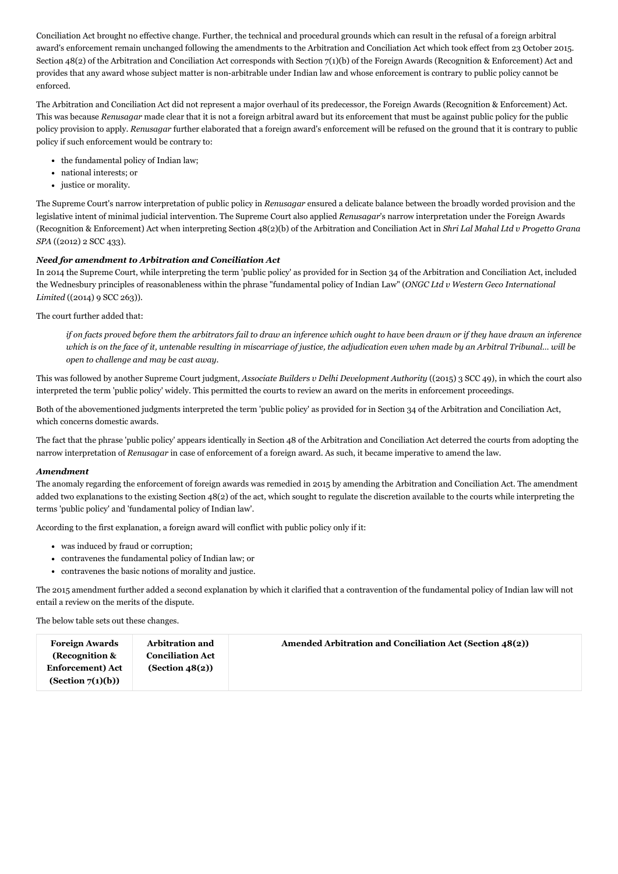Conciliation Act brought no effective change. Further, the technical and procedural grounds which can result in the refusal of a foreign arbitral award's enforcement remain unchanged following the amendments to the Arbitration and Conciliation Act which took effect from 23 October 2015. Section 48(2) of the Arbitration and Conciliation Act corresponds with Section 7(1)(b) of the Foreign Awards (Recognition & Enforcement) Act and provides that any award whose subject matter is non-arbitrable under Indian law and whose enforcement is contrary to public policy cannot be enforced.

The Arbitration and Conciliation Act did not represent a major overhaul of its predecessor, the Foreign Awards (Recognition & Enforcement) Act. This was because *Renusagar* made clear that it is not a foreign arbitral award but its enforcement that must be against public policy for the public policy provision to apply. *Renusagar* further elaborated that a foreign award's enforcement will be refused on the ground that it is contrary to public policy if such enforcement would be contrary to:

- the fundamental policy of Indian law;
- national interests; or
- justice or morality*.*

The Supreme Court's narrow interpretation of public policy in *Renusagar* ensured a delicate balance between the broadly worded provision and the legislative intent of minimal judicial intervention. The Supreme Court also applied *Renusagar*'s narrow interpretation under the Foreign Awards (Recognition & Enforcement) Act when interpreting Section 48(2)(b) of the Arbitration and Conciliation Act in *Shri Lal Mahal Ltd v Progetto Grana SPA* ((2012) 2 SCC 433).

# *Need for amendment to Arbitration and Conciliation Act*

In 2014 the Supreme Court, while interpreting the term 'public policy' as provided for in Section 34 of the Arbitration and Conciliation Act, included the Wednesbury principles of reasonableness within the phrase "fundamental policy of Indian Law" (*ONGC Ltd v Western Geco International Limited* ((2014) 9 SCC 263)).

The court further added that:

if on facts proved before them the arbitrators fail to draw an inference which ought to have been drawn or if they have drawn an inference which is on the face of it, untenable resulting in miscarriage of justice, the adjudication even when made by an Arbitral Tribunal... will be *open to challenge and may be cast away*.

This was followed by another Supreme Court judgment, *Associate Builders v Delhi Development Authority* ((2015) 3 SCC 49), in which the court also interpreted the term 'public policy' widely. This permitted the courts to review an award on the merits in enforcement proceedings.

Both of the abovementioned judgments interpreted the term 'public policy' as provided for in Section 34 of the Arbitration and Conciliation Act, which concerns domestic awards.

The fact that the phrase 'public policy' appears identically in Section 48 of the Arbitration and Conciliation Act deterred the courts from adopting the narrow interpretation of *Renusagar* in case of enforcement of a foreign award. As such, it became imperative to amend the law.

## *Amendment*

The anomaly regarding the enforcement of foreign awards was remedied in 2015 by amending the Arbitration and Conciliation Act. The amendment added two explanations to the existing Section 48(2) of the act, which sought to regulate the discretion available to the courts while interpreting the terms 'public policy' and 'fundamental policy of Indian law'.

According to the first explanation, a foreign award will conflict with public policy only if it:

- was induced by fraud or corruption;
- contravenes the fundamental policy of Indian law; or
- contravenes the basic notions of morality and justice.

The 2015 amendment further added a second explanation by which it clarified that a contravention of the fundamental policy of Indian law will not entail a review on the merits of the dispute.

The below table sets out these changes.

| <b>Foreign Awards</b>    | <b>Arbitration and</b>  | Amended Arbitration and Conciliation Act (Section 48(2)) |
|--------------------------|-------------------------|----------------------------------------------------------|
| (Recognition &           | <b>Conciliation Act</b> |                                                          |
| <b>Enforcement</b> ) Act | (Section 48(2))         |                                                          |
| (Section 7(1)(b))        |                         |                                                          |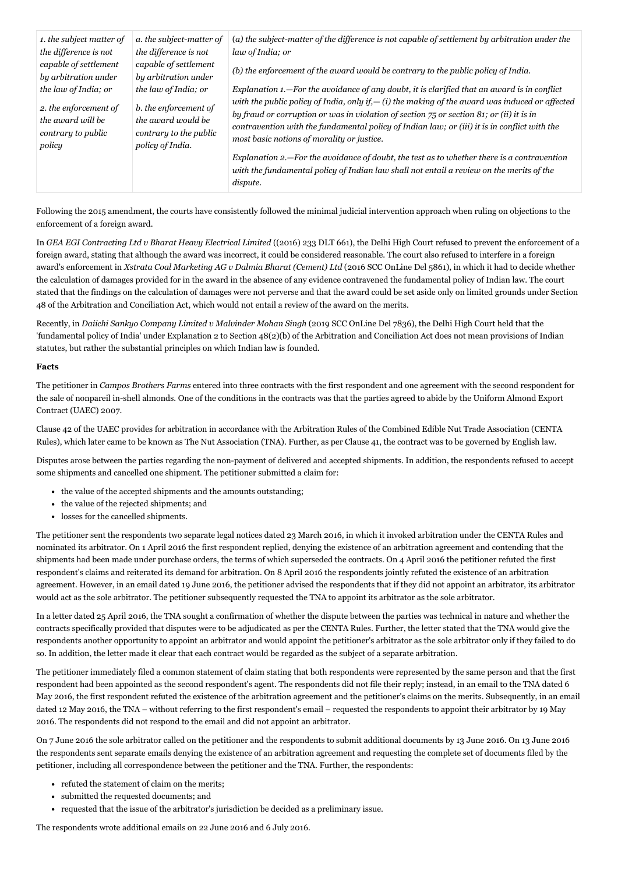| 1. the subject matter of<br>the difference is not                                                  | a. the subject-matter of<br>the difference is not                                                                 | (a) the subject-matter of the difference is not capable of settlement by arbitration under the<br>law of India; or                                                                                                                                                                                                                                                                                                                                                                                                                         |
|----------------------------------------------------------------------------------------------------|-------------------------------------------------------------------------------------------------------------------|--------------------------------------------------------------------------------------------------------------------------------------------------------------------------------------------------------------------------------------------------------------------------------------------------------------------------------------------------------------------------------------------------------------------------------------------------------------------------------------------------------------------------------------------|
| capable of settlement<br>by arbitration under                                                      | capable of settlement<br>by arbitration under                                                                     | (b) the enforcement of the award would be contrary to the public policy of India.                                                                                                                                                                                                                                                                                                                                                                                                                                                          |
| the law of India; or<br>2. the enforcement of<br>the award will be<br>contrary to public<br>policy | the law of India; or<br>b. the enforcement of<br>the award would be<br>contrary to the public<br>policy of India. | Explanation 1.—For the avoidance of any doubt, it is clarified that an award is in conflict<br>with the public policy of India, only if, $-$ (i) the making of the award was induced or affected<br>by fraud or corruption or was in violation of section $75$ or section 81; or (ii) it is in<br>contravention with the fundamental policy of Indian law; or (iii) it is in conflict with the<br>most basic notions of morality or justice.<br>Explanation 2.-For the avoidance of doubt, the test as to whether there is a contravention |
|                                                                                                    |                                                                                                                   | with the fundamental policy of Indian law shall not entail a review on the merits of the<br>dispute.                                                                                                                                                                                                                                                                                                                                                                                                                                       |

Following the 2015 amendment, the courts have consistently followed the minimal judicial intervention approach when ruling on objections to the enforcement of a foreign award.

In *GEA EGI Contracting Ltd v Bharat Heavy Electrical Limited* ((2016) 233 DLT 661), the Delhi High Court refused to prevent the enforcement of a foreign award, stating that although the award was incorrect, it could be considered reasonable. The court also refused to interfere in a foreign award's enforcement in *Xstrata Coal Marketing AG v Dalmia Bharat (Cement) Ltd* (2016 SCC OnLine Del 5861), in which it had to decide whether the calculation of damages provided for in the award in the absence of any evidence contravened the fundamental policy of Indian law. The court stated that the findings on the calculation of damages were not perverse and that the award could be set aside only on limited grounds under Section 48 of the Arbitration and Conciliation Act, which would not entail a review of the award on the merits.

Recently, in *Daiichi Sankyo Company Limited v Malvinder Mohan Singh* (2019 SCC OnLine Del 7836), the Delhi High Court held that the 'fundamental policy of India' under Explanation 2 to Section 48(2)(b) of the Arbitration and Conciliation Act does not mean provisions of Indian statutes, but rather the substantial principles on which Indian law is founded.

## <span id="page-2-0"></span>**Facts**

The petitioner in *Campos Brothers Farms* entered into three contracts with the first respondent and one agreement with the second respondent for the sale of nonpareil in-shell almonds. One of the conditions in the contracts was that the parties agreed to abide by the Uniform Almond Export Contract (UAEC) 2007.

Clause 42 of the UAEC provides for arbitration in accordance with the Arbitration Rules of the Combined Edible Nut Trade Association (CENTA Rules), which later came to be known as The Nut Association (TNA). Further, as per Clause 41, the contract was to be governed by English law.

Disputes arose between the parties regarding the non-payment of delivered and accepted shipments. In addition, the respondents refused to accept some shipments and cancelled one shipment. The petitioner submitted a claim for:

- the value of the accepted shipments and the amounts outstanding;
- the value of the rejected shipments; and
- losses for the cancelled shipments.

The petitioner sent the respondents two separate legal notices dated 23 March 2016, in which it invoked arbitration under the CENTA Rules and nominated its arbitrator. On 1 April 2016 the first respondent replied, denying the existence of an arbitration agreement and contending that the shipments had been made under purchase orders, the terms of which superseded the contracts. On 4 April 2016 the petitioner refuted the first respondent's claims and reiterated its demand for arbitration. On 8 April 2016 the respondents jointly refuted the existence of an arbitration agreement. However, in an email dated 19 June 2016, the petitioner advised the respondents that if they did not appoint an arbitrator, its arbitrator would act as the sole arbitrator. The petitioner subsequently requested the TNA to appoint its arbitrator as the sole arbitrator.

In a letter dated 25 April 2016, the TNA sought a confirmation of whether the dispute between the parties was technical in nature and whether the contracts specifically provided that disputes were to be adjudicated as per the CENTA Rules. Further, the letter stated that the TNA would give the respondents another opportunity to appoint an arbitrator and would appoint the petitioner's arbitrator as the sole arbitrator only if they failed to do so. In addition, the letter made it clear that each contract would be regarded as the subject of a separate arbitration.

The petitioner immediately filed a common statement of claim stating that both respondents were represented by the same person and that the first respondent had been appointed as the second respondent's agent. The respondents did not file their reply; instead, in an email to the TNA dated 6 May 2016, the first respondent refuted the existence of the arbitration agreement and the petitioner's claims on the merits. Subsequently, in an email dated 12 May 2016, the TNA – without referring to the first respondent's email – requested the respondents to appoint their arbitrator by 19 May 2016. The respondents did not respond to the email and did not appoint an arbitrator.

On 7 June 2016 the sole arbitrator called on the petitioner and the respondents to submit additional documents by 13 June 2016. On 13 June 2016 the respondents sent separate emails denying the existence of an arbitration agreement and requesting the complete set of documents filed by the petitioner, including all correspondence between the petitioner and the TNA. Further, the respondents:

- refuted the statement of claim on the merits;
- submitted the requested documents; and
- requested that the issue of the arbitrator's jurisdiction be decided as a preliminary issue.

The respondents wrote additional emails on 22 June 2016 and 6 July 2016.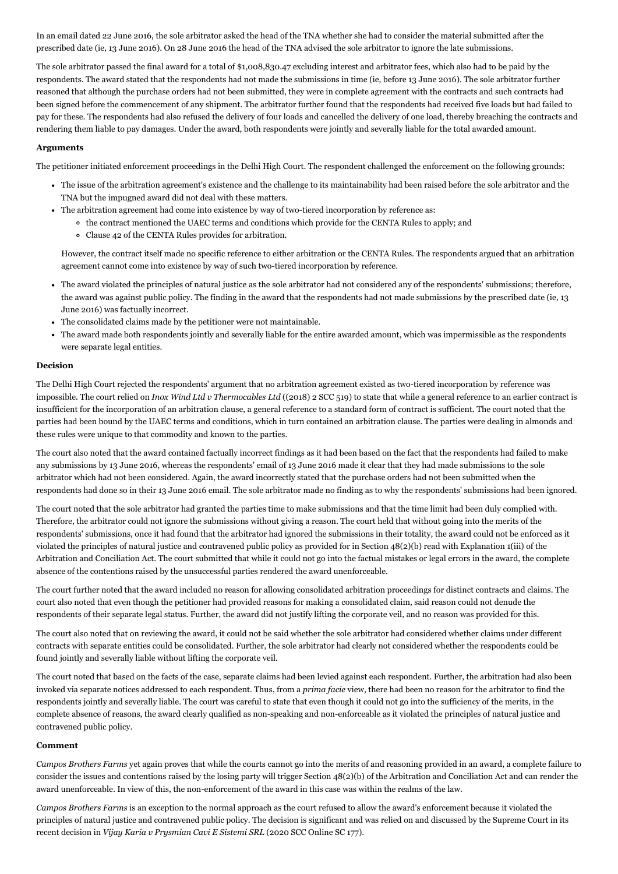In an email dated 22 June 2016, the sole arbitrator asked the head of the TNA whether she had to consider the material submitted after the prescribed date (ie, 13 June 2016). On 28 June 2016 the head of the TNA advised the sole arbitrator to ignore the late submissions.

The sole arbitrator passed the final award for a total of \$1,008,830.47 excluding interest and arbitrator fees, which also had to be paid by the respondents. The award stated that the respondents had not made the submissions in time (ie, before 13 June 2016). The sole arbitrator further reasoned that although the purchase orders had not been submitted, they were in complete agreement with the contracts and such contracts had been signed before the commencement of any shipment. The arbitrator further found that the respondents had received five loads but had failed to pay for these. The respondents had also refused the delivery of four loads and cancelled the delivery of one load, thereby breaching the contracts and rendering them liable to pay damages. Under the award, both respondents were jointly and severally liable for the total awarded amount.

#### <span id="page-3-0"></span>**Arguments**

The petitioner initiated enforcement proceedings in the Delhi High Court. The respondent challenged the enforcement on the following grounds:

- The issue of the arbitration agreement's existence and the challenge to its maintainability had been raised before the sole arbitrator and the TNA but the impugned award did not deal with these matters.
- The arbitration agreement had come into existence by way of two-tiered incorporation by reference as:
	- the contract mentioned the UAEC terms and conditions which provide for the CENTA Rules to apply; and
	- Clause 42 of the CENTA Rules provides for arbitration.

However, the contract itself made no specific reference to either arbitration or the CENTA Rules. The respondents argued that an arbitration agreement cannot come into existence by way of such two-tiered incorporation by reference.

- The award violated the principles of natural justice as the sole arbitrator had not considered any of the respondents' submissions; therefore, the award was against public policy. The finding in the award that the respondents had not made submissions by the prescribed date (ie, 13 June 2016) was factually incorrect.
- The consolidated claims made by the petitioner were not maintainable.
- The award made both respondents jointly and severally liable for the entire awarded amount, which was impermissible as the respondents were separate legal entities.

#### <span id="page-3-1"></span>**Decision**

The Delhi High Court rejected the respondents' argument that no arbitration agreement existed as two-tiered incorporation by reference was impossible. The court relied on *Inox Wind Ltd v Thermocables Ltd* ((2018) 2 SCC 519) to state that while a general reference to an earlier contract is insufficient for the incorporation of an arbitration clause, a general reference to a standard form of contract is sufficient. The court noted that the parties had been bound by the UAEC terms and conditions, which in turn contained an arbitration clause. The parties were dealing in almonds and these rules were unique to that commodity and known to the parties.

The court also noted that the award contained factually incorrect findings as it had been based on the fact that the respondents had failed to make any submissions by 13 June 2016, whereas the respondents' email of 13 June 2016 made it clear that they had made submissions to the sole arbitrator which had not been considered. Again, the award incorrectly stated that the purchase orders had not been submitted when the respondents had done so in their 13 June 2016 email. The sole arbitrator made no finding as to why the respondents' submissions had been ignored.

The court noted that the sole arbitrator had granted the parties time to make submissions and that the time limit had been duly complied with. Therefore, the arbitrator could not ignore the submissions without giving a reason. The court held that without going into the merits of the respondents' submissions, once it had found that the arbitrator had ignored the submissions in their totality, the award could not be enforced as it violated the principles of natural justice and contravened public policy as provided for in Section 48(2)(b) read with Explanation 1(iii) of the Arbitration and Conciliation Act. The court submitted that while it could not go into the factual mistakes or legal errors in the award, the complete absence of the contentions raised by the unsuccessful parties rendered the award unenforceable.

The court further noted that the award included no reason for allowing consolidated arbitration proceedings for distinct contracts and claims. The court also noted that even though the petitioner had provided reasons for making a consolidated claim, said reason could not denude the respondents of their separate legal status. Further, the award did not justify lifting the corporate veil, and no reason was provided for this.

The court also noted that on reviewing the award, it could not be said whether the sole arbitrator had considered whether claims under different contracts with separate entities could be consolidated. Further, the sole arbitrator had clearly not considered whether the respondents could be found jointly and severally liable without lifting the corporate veil.

The court noted that based on the facts of the case, separate claims had been levied against each respondent. Further, the arbitration had also been invoked via separate notices addressed to each respondent. Thus, from a *prima facie* view, there had been no reason for the arbitrator to find the respondents jointly and severally liable. The court was careful to state that even though it could not go into the sufficiency of the merits, in the complete absence of reasons, the award clearly qualified as non-speaking and non-enforceable as it violated the principles of natural justice and contravened public policy.

#### <span id="page-3-2"></span>**Comment**

*Campos Brothers Farms* yet again proves that while the courts cannot go into the merits of and reasoning provided in an award, a complete failure to consider the issues and contentions raised by the losing party will trigger Section 48(2)(b) of the Arbitration and Conciliation Act and can render the award unenforceable. In view of this, the non-enforcement of the award in this case was within the realms of the law.

*Campos Brothers Farms* is an exception to the normal approach as the court refused to allow the award's enforcement because it violated the principles of natural justice and contravened public policy. The decision is significant and was relied on and discussed by the Supreme Court in its recent decision in *Vijay Karia v Prysmian Cavi E Sistemi SRL* (2020 SCC Online SC 177).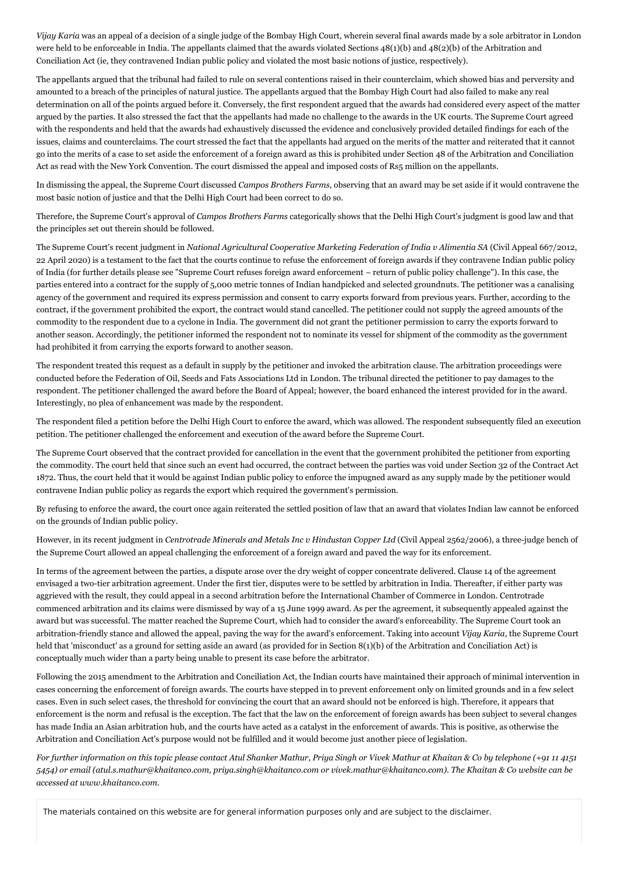*Vijay Karia* was an appeal of a decision of a single judge of the Bombay High Court, wherein several final awards made by a sole arbitrator in London were held to be enforceable in India. The appellants claimed that the awards violated Sections  $48(1)(b)$  and  $48(2)(b)$  of the Arbitration and Conciliation Act (ie, they contravened Indian public policy and violated the most basic notions of justice, respectively).

The appellants argued that the tribunal had failed to rule on several contentions raised in their counterclaim, which showed bias and perversity and amounted to a breach of the principles of natural justice. The appellants argued that the Bombay High Court had also failed to make any real determination on all of the points argued before it. Conversely, the first respondent argued that the awards had considered every aspect of the matter argued by the parties. It also stressed the fact that the appellants had made no challenge to the awards in the UK courts. The Supreme Court agreed with the respondents and held that the awards had exhaustively discussed the evidence and conclusively provided detailed findings for each of the issues, claims and counterclaims. The court stressed the fact that the appellants had argued on the merits of the matter and reiterated that it cannot go into the merits of a case to set aside the enforcement of a foreign award as this is prohibited under Section 48 of the Arbitration and Conciliation Act as read with the New York Convention. The court dismissed the appeal and imposed costs of Rs5 million on the appellants.

In dismissing the appeal, the Supreme Court discussed *Campos Brothers Farms*, observing that an award may be set aside if it would contravene the most basic notion of justice and that the Delhi High Court had been correct to do so.

Therefore, the Supreme Court's approval of *Campos Brothers Farms* categorically shows that the Delhi High Court's judgment is good law and that the principles set out therein should be followed.

The Supreme Court's recent judgment in *National Agricultural Cooperative Marketing Federation of India v Alimentia SA* (Civil Appeal 667/2012, 22 April 2020) is a testament to the fact that the courts continue to refuse the enforcement of foreign awards if they contravene Indian public policy of India (for further details please see "Supreme Court refuses foreign award [enforcement](https://www.internationallawoffice.com/Newsletters/Arbitration-ADR/India/Khaitan-Co/Supreme-Court-refuses-foreign-award-enforcement-return-of-public-policy-challenge) – return of public policy challenge"). In this case, the parties entered into a contract for the supply of 5,000 metric tonnes of Indian handpicked and selected groundnuts. The petitioner was a canalising agency of the government and required its express permission and consent to carry exports forward from previous years. Further, according to the contract, if the government prohibited the export, the contract would stand cancelled. The petitioner could not supply the agreed amounts of the commodity to the respondent due to a cyclone in India. The government did not grant the petitioner permission to carry the exports forward to another season. Accordingly, the petitioner informed the respondent not to nominate its vessel for shipment of the commodity as the government had prohibited it from carrying the exports forward to another season.

The respondent treated this request as a default in supply by the petitioner and invoked the arbitration clause. The arbitration proceedings were conducted before the Federation of Oil, Seeds and Fats Associations Ltd in London. The tribunal directed the petitioner to pay damages to the respondent. The petitioner challenged the award before the Board of Appeal; however, the board enhanced the interest provided for in the award. Interestingly, no plea of enhancement was made by the respondent.

The respondent filed a petition before the Delhi High Court to enforce the award, which was allowed. The respondent subsequently filed an execution petition. The petitioner challenged the enforcement and execution of the award before the Supreme Court.

The Supreme Court observed that the contract provided for cancellation in the event that the government prohibited the petitioner from exporting the commodity. The court held that since such an event had occurred, the contract between the parties was void under Section 32 of the Contract Act 1872. Thus, the court held that it would be against Indian public policy to enforce the impugned award as any supply made by the petitioner would contravene Indian public policy as regards the export which required the government's permission.

By refusing to enforce the award, the court once again reiterated the settled position of law that an award that violates Indian law cannot be enforced on the grounds of Indian public policy.

However, in its recent judgment in *Centrotrade Minerals and Metals Inc v Hindustan Copper Ltd* (Civil Appeal 2562/2006), a three-judge bench of the Supreme Court allowed an appeal challenging the enforcement of a foreign award and paved the way for its enforcement.

In terms of the agreement between the parties, a dispute arose over the dry weight of copper concentrate delivered. Clause 14 of the agreement envisaged a two-tier arbitration agreement. Under the first tier, disputes were to be settled by arbitration in India. Thereafter, if either party was aggrieved with the result, they could appeal in a second arbitration before the International Chamber of Commerce in London. Centrotrade commenced arbitration and its claims were dismissed by way of a 15 June 1999 award. As per the agreement, it subsequently appealed against the award but was successful. The matter reached the Supreme Court, which had to consider the award's enforceability. The Supreme Court took an arbitration-friendly stance and allowed the appeal, paving the way for the award's enforcement. Taking into account *Vijay Karia*, the Supreme Court held that 'misconduct' as a ground for setting aside an award (as provided for in Section 8(1)(b) of the Arbitration and Conciliation Act) is conceptually much wider than a party being unable to present its case before the arbitrator.

Following the 2015 amendment to the Arbitration and Conciliation Act, the Indian courts have maintained their approach of minimal intervention in cases concerning the enforcement of foreign awards. The courts have stepped in to prevent enforcement only on limited grounds and in a few select cases. Even in such select cases, the threshold for convincing the court that an award should not be enforced is high. Therefore, it appears that enforcement is the norm and refusal is the exception. The fact that the law on the enforcement of foreign awards has been subject to several changes has made India an Asian arbitration hub, and the courts have acted as a catalyst in the enforcement of awards. This is positive, as otherwise the Arbitration and Conciliation Act's purpose would not be fulfilled and it would become just another piece of legislation.

For further information on this topic please contact Atul [Shanker](https://www.internationallawoffice.com/Directory/Khaitan-Co/New-Delhi/Atul-Shanker-Mathur) Mathur, Priya [Singh](https://www.internationallawoffice.com/Directory/Khaitan-Co/New-Delhi/Priya-Singh) or Vivek [Mathur](https://www.internationallawoffice.com/Directory/Khaitan-Co/New-Delhi/Vivek-Mathur) at Khaitan & Co by telephone (+91 11 4151 5454) or email ([atul.s.mathur@khaitanco.com,](mailto:atul.s.mathur@khaitanco.com?subject=Article%20on%20ILO) [priya.singh@khaitanco.com](mailto:priya.singh@khaitanco.com?subject=Article%20on%20ILO) or [vivek.mathur@khaitanco.com](mailto:vivek.mathur@khaitanco.com?subject=Article%20on%20ILO)). The Khaitan & Co website can be *accessed at [www.khaitanco.com.](http://www.khaitanco.com/)*

The materials contained on this website are for general information purposes only and are subject to the [disclaimer](https://www.internationallawoffice.com/Information/Disclaimer).